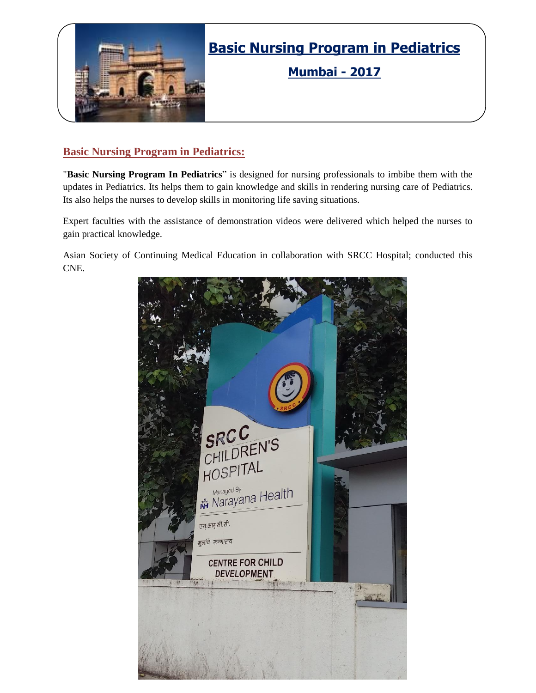

## **Basic Nursing Program in Pediatrics**

**Mumbai - 2017**

### **Basic Nursing Program in Pediatrics:**

"**Basic Nursing Program In Pediatrics**" is designed for nursing professionals to imbibe them with the updates in Pediatrics. Its helps them to gain knowledge and skills in rendering nursing care of Pediatrics. Its also helps the nurses to develop skills in monitoring life saving situations.

Expert faculties with the assistance of demonstration videos were delivered which helped the nurses to gain practical knowledge.

Asian Society of Continuing Medical Education in collaboration with SRCC Hospital; conducted this CNE.

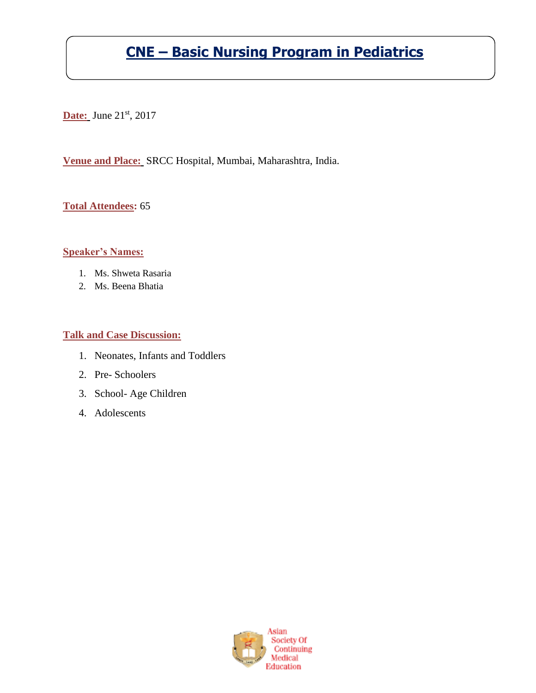# **CNE – Basic Nursing Program in Pediatrics**

**Date:** June 21<sup>st</sup>, 2017

**Venue and Place:** SRCC Hospital, Mumbai, Maharashtra, India.

**Total Attendees:** 65

#### **Speaker's Names:**

- 1. Ms. Shweta Rasaria
- 2. Ms. Beena Bhatia

#### **Talk and Case Discussion:**

- 1. Neonates, Infants and Toddlers
- 2. Pre- Schoolers
- 3. School- Age Children
- 4. Adolescents

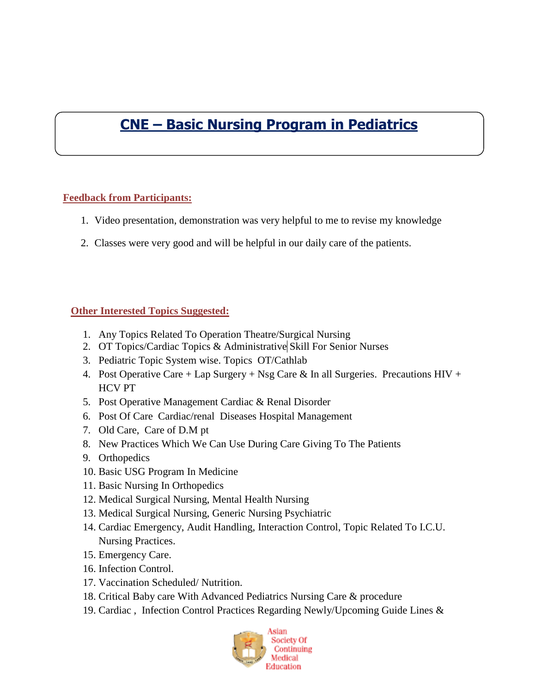## **CNE – Basic Nursing Program in Pediatrics**

### **Feedback from Participants:**

- 1. Video presentation, demonstration was very helpful to me to revise my knowledge
- 2. Classes were very good and will be helpful in our daily care of the patients.

### **Other Interested Topics Suggested:**

- 1. Any Topics Related To Operation Theatre/Surgical Nursing
- 2. OT Topics/Cardiac Topics & Administrative Skill For Senior Nurses
- 3. Pediatric Topic System wise. Topics OT/Cathlab
- 4. Post Operative Care + Lap Surgery + Nsg Care & In all Surgeries. Precautions HIV + HCV PT
- 5. Post Operative Management Cardiac & Renal Disorder
- 6. Post Of Care Cardiac/renal Diseases Hospital Management
- 7. Old Care, Care of D.M pt
- 8. New Practices Which We Can Use During Care Giving To The Patients
- 9. Orthopedics
- 10. Basic USG Program In Medicine
- 11. Basic Nursing In Orthopedics
- 12. Medical Surgical Nursing, Mental Health Nursing
- 13. Medical Surgical Nursing, Generic Nursing Psychiatric
- 14. Cardiac Emergency, Audit Handling, Interaction Control, Topic Related To I.C.U. Nursing Practices.
- 15. Emergency Care.
- 16. Infection Control.
- 17. Vaccination Scheduled/ Nutrition.
- 18. Critical Baby care With Advanced Pediatrics Nursing Care & procedure
- 19. Cardiac , Infection Control Practices Regarding Newly/Upcoming Guide Lines &

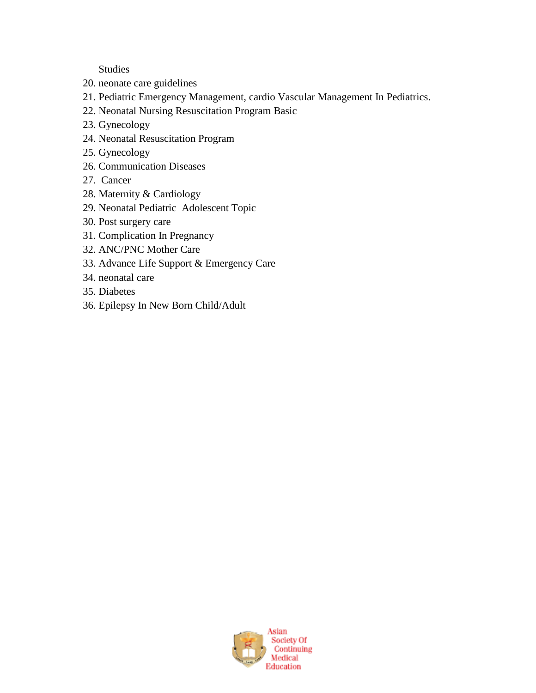Studies

- 20. neonate care guidelines
- 21. Pediatric Emergency Management, cardio Vascular Management In Pediatrics.
- 22. Neonatal Nursing Resuscitation Program Basic
- 23. Gynecology
- 24. Neonatal Resuscitation Program
- 25. Gynecology
- 26. Communication Diseases
- 27. Cancer
- 28. Maternity & Cardiology
- 29. Neonatal Pediatric Adolescent Topic
- 30. Post surgery care
- 31. Complication In Pregnancy
- 32. ANC/PNC Mother Care
- 33. Advance Life Support & Emergency Care
- 34. neonatal care
- 35. Diabetes
- 36. Epilepsy In New Born Child/Adult

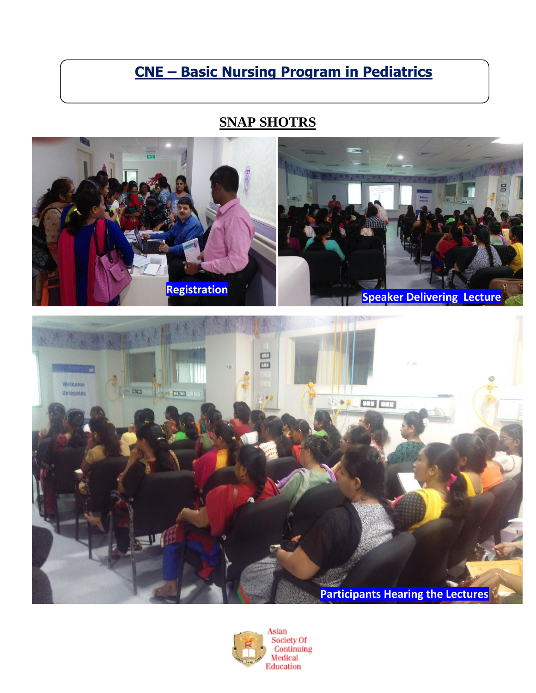## **CNE – Basic Nursing Program in Pediatrics**

### **SNAP SHOTRS**